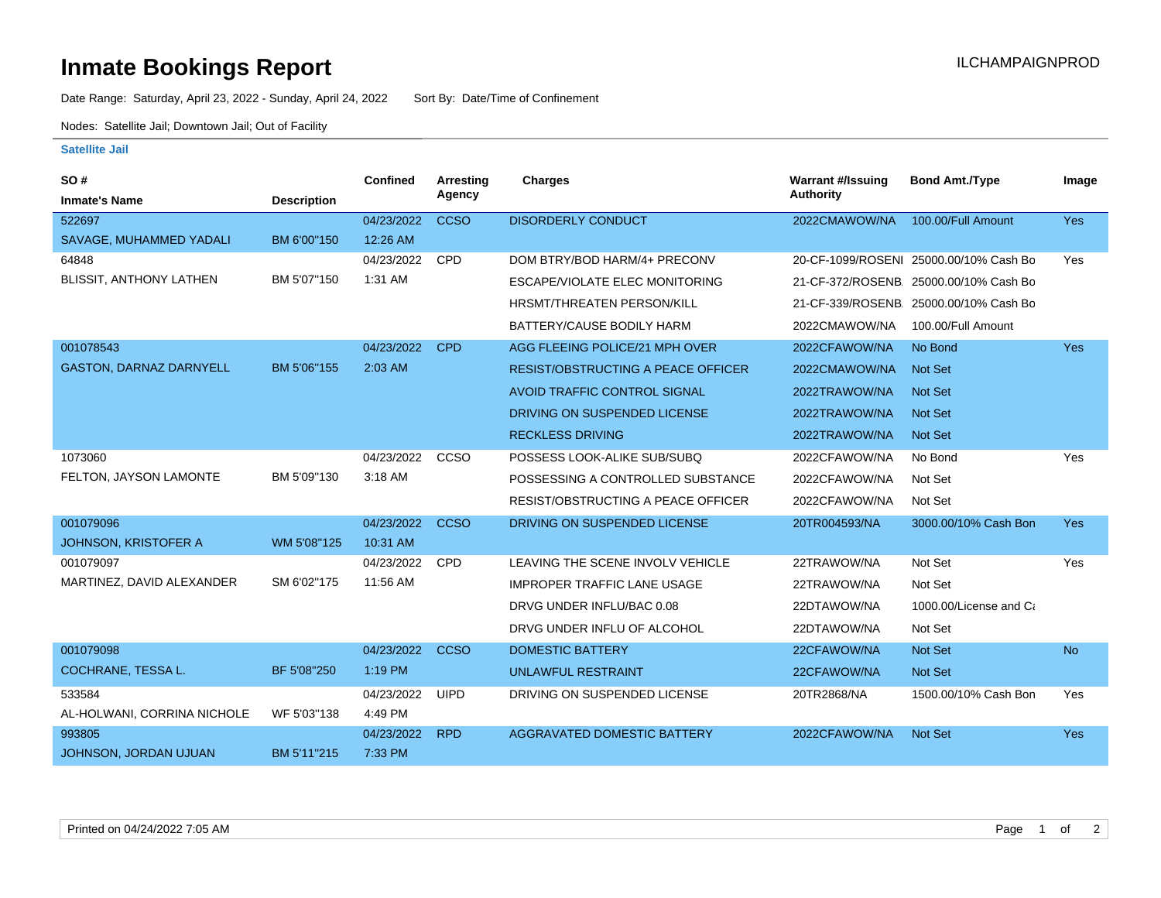## **Inmate Bookings Report International Contract Contract Contract Contract Contract Contract Contract Contract Contract Contract Contract Contract Contract Contract Contract Contract Contract Contract Contract Contract Co**

Date Range: Saturday, April 23, 2022 - Sunday, April 24, 2022 Sort By: Date/Time of Confinement

Nodes: Satellite Jail; Downtown Jail; Out of Facility

## **Satellite Jail**

| SO#                            |                    | Confined   | <b>Arresting</b> | <b>Charges</b>                            | <b>Warrant #/Issuing</b> | <b>Bond Amt./Type</b>                  | Image      |
|--------------------------------|--------------------|------------|------------------|-------------------------------------------|--------------------------|----------------------------------------|------------|
| <b>Inmate's Name</b>           | <b>Description</b> |            | Agency           |                                           | <b>Authority</b>         |                                        |            |
| 522697                         |                    | 04/23/2022 | <b>CCSO</b>      | <b>DISORDERLY CONDUCT</b>                 | 2022CMAWOW/NA            | 100.00/Full Amount                     | <b>Yes</b> |
| SAVAGE, MUHAMMED YADALI        | BM 6'00"150        | 12:26 AM   |                  |                                           |                          |                                        |            |
| 64848                          |                    | 04/23/2022 | <b>CPD</b>       | DOM BTRY/BOD HARM/4+ PRECONV              |                          | 20-CF-1099/ROSENI 25000.00/10% Cash Bo | Yes        |
| BLISSIT, ANTHONY LATHEN        | BM 5'07"150        | 1:31 AM    |                  | <b>ESCAPE/VIOLATE ELEC MONITORING</b>     |                          | 21-CF-372/ROSENB 25000.00/10% Cash Bo  |            |
|                                |                    |            |                  | <b>HRSMT/THREATEN PERSON/KILL</b>         |                          | 21-CF-339/ROSENB 25000.00/10% Cash Bo  |            |
|                                |                    |            |                  | BATTERY/CAUSE BODILY HARM                 | 2022CMAWOW/NA            | 100.00/Full Amount                     |            |
| 001078543                      |                    | 04/23/2022 | <b>CPD</b>       | AGG FLEEING POLICE/21 MPH OVER            | 2022CFAWOW/NA            | No Bond                                | <b>Yes</b> |
| <b>GASTON, DARNAZ DARNYELL</b> | BM 5'06"155        | 2:03 AM    |                  | <b>RESIST/OBSTRUCTING A PEACE OFFICER</b> | 2022CMAWOW/NA            | <b>Not Set</b>                         |            |
|                                |                    |            |                  | AVOID TRAFFIC CONTROL SIGNAL              | 2022TRAWOW/NA            | Not Set                                |            |
|                                |                    |            |                  | DRIVING ON SUSPENDED LICENSE              | 2022TRAWOW/NA            | <b>Not Set</b>                         |            |
|                                |                    |            |                  | <b>RECKLESS DRIVING</b>                   | 2022TRAWOW/NA            | Not Set                                |            |
| 1073060                        |                    | 04/23/2022 | CCSO             | POSSESS LOOK-ALIKE SUB/SUBQ               | 2022CFAWOW/NA            | No Bond                                | Yes        |
| FELTON, JAYSON LAMONTE         | BM 5'09"130        | 3:18 AM    |                  | POSSESSING A CONTROLLED SUBSTANCE         | 2022CFAWOW/NA            | Not Set                                |            |
|                                |                    |            |                  | <b>RESIST/OBSTRUCTING A PEACE OFFICER</b> | 2022CFAWOW/NA            | Not Set                                |            |
| 001079096                      |                    | 04/23/2022 | <b>CCSO</b>      | DRIVING ON SUSPENDED LICENSE              | 20TR004593/NA            | 3000.00/10% Cash Bon                   | Yes        |
| <b>JOHNSON, KRISTOFER A</b>    | WM 5'08"125        | 10:31 AM   |                  |                                           |                          |                                        |            |
| 001079097                      |                    | 04/23/2022 | <b>CPD</b>       | LEAVING THE SCENE INVOLV VEHICLE          | 22TRAWOW/NA              | Not Set                                | Yes        |
| MARTINEZ, DAVID ALEXANDER      | SM 6'02"175        | 11:56 AM   |                  | <b>IMPROPER TRAFFIC LANE USAGE</b>        | 22TRAWOW/NA              | Not Set                                |            |
|                                |                    |            |                  | DRVG UNDER INFLU/BAC 0.08                 | 22DTAWOW/NA              | 1000.00/License and Ca                 |            |
|                                |                    |            |                  | DRVG UNDER INFLU OF ALCOHOL               | 22DTAWOW/NA              | Not Set                                |            |
| 001079098                      |                    | 04/23/2022 | <b>CCSO</b>      | <b>DOMESTIC BATTERY</b>                   | 22CFAWOW/NA              | Not Set                                | <b>No</b>  |
| COCHRANE, TESSA L.             | BF 5'08"250        | 1:19 PM    |                  | <b>UNLAWFUL RESTRAINT</b>                 | 22CFAWOW/NA              | Not Set                                |            |
| 533584                         |                    | 04/23/2022 | <b>UIPD</b>      | DRIVING ON SUSPENDED LICENSE              | 20TR2868/NA              | 1500.00/10% Cash Bon                   | Yes        |
| AL-HOLWANI, CORRINA NICHOLE    | WF 5'03"138        | 4:49 PM    |                  |                                           |                          |                                        |            |
| 993805                         |                    | 04/23/2022 | <b>RPD</b>       | <b>AGGRAVATED DOMESTIC BATTERY</b>        | 2022CFAWOW/NA            | Not Set                                | <b>Yes</b> |
| JOHNSON, JORDAN UJUAN          | BM 5'11"215        | 7:33 PM    |                  |                                           |                          |                                        |            |